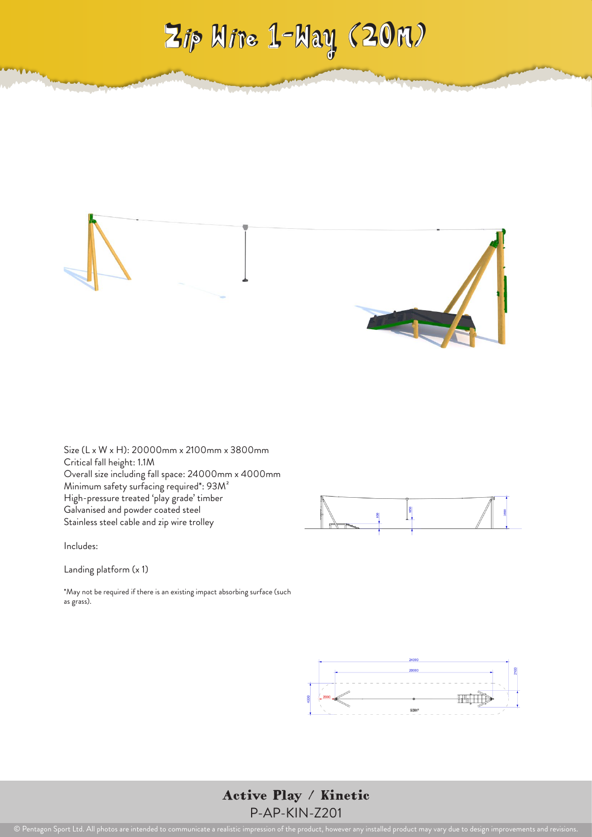



Size (L x W x H): 20000mm x 2100mm x 3800mm Critical fall height: 1.1M Overall size including fall space: 24000mm x 4000mm Minimum safety surfacing required\*: 93M² High-pressure treated 'play grade' timber Galvanised and powder coated steel Stainless steel cable and zip wire trolley



Includes:

Landing platform (x 1)

\*May not be required if there is an existing impact absorbing surface (such as grass).



Active Play / Kinetic P-AP-KIN-Z201

© Pentagon Sport Ltd. All photos are intended to communicate a realistic impression of the product, however any installed product may vary due to design improvements and revisions.